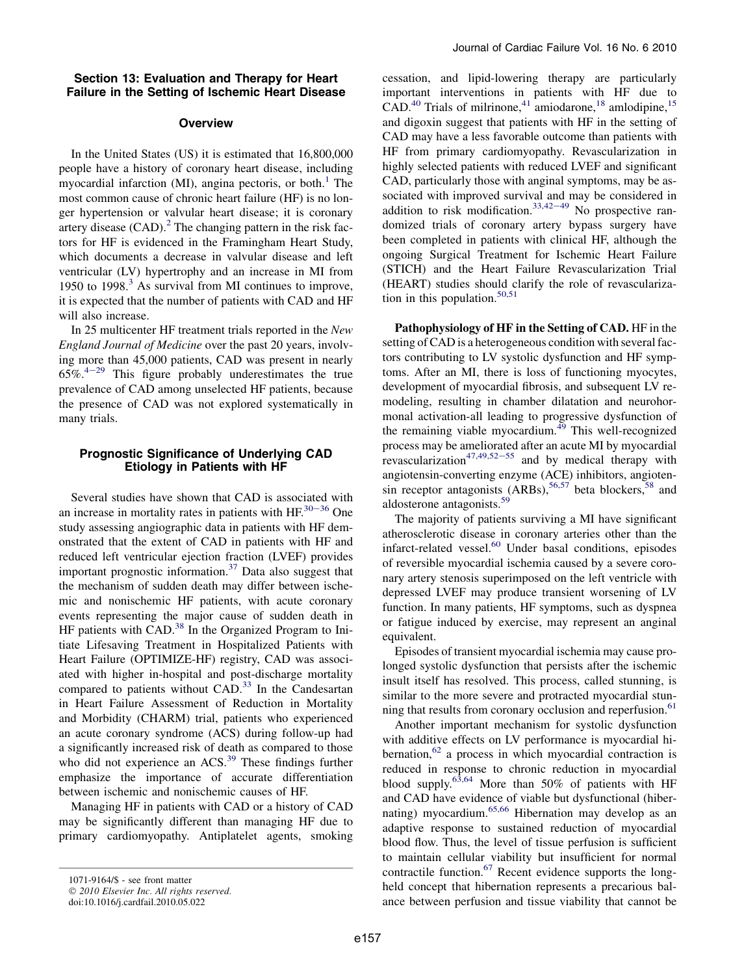### Section 13: Evaluation and Therapy for Heart Failure in the Setting of Ischemic Heart Disease

# **Overview**

In the United States (US) it is estimated that 16,800,000 people have a history of coronary heart disease, including myocardial infarction (MI), angina pectoris, or both.<sup>[1](#page-4-0)</sup> The most common cause of chronic heart failure (HF) is no longer hypertension or valvular heart disease; it is coronary artery disease  $(CAD)$ .<sup>[2](#page-4-0)</sup> The changing pattern in the risk factors for HF is evidenced in the Framingham Heart Study, which documents a decrease in valvular disease and left ventricular (LV) hypertrophy and an increase in MI from 1950 to 1998. $3$  As survival from MI continues to improve, it is expected that the number of patients with CAD and HF will also increase.

In 25 multicenter HF treatment trials reported in the New England Journal of Medicine over the past 20 years, involving more than 45,000 patients, CAD was present in nearly  $65\%$ <sup>4-[29](#page-4-0)</sup> This figure probably underestimates the true prevalence of CAD among unselected HF patients, because the presence of CAD was not explored systematically in many trials.

# Prognostic Significance of Underlying CAD Etiology in Patients with HF

Several studies have shown that CAD is associated with an increase in mortality rates in patients with  $HF^{30-36}$  $HF^{30-36}$  $HF^{30-36}$  One study assessing angiographic data in patients with HF demonstrated that the extent of CAD in patients with HF and reduced left ventricular ejection fraction (LVEF) provides important prognostic information.[37](#page-5-0) Data also suggest that the mechanism of sudden death may differ between ischemic and nonischemic HF patients, with acute coronary events representing the major cause of sudden death in HF patients with CAD.<sup>[38](#page-5-0)</sup> In the Organized Program to Initiate Lifesaving Treatment in Hospitalized Patients with Heart Failure (OPTIMIZE-HF) registry, CAD was associated with higher in-hospital and post-discharge mortality compared to patients without CAD. $^{33}$  $^{33}$  $^{33}$  In the Candesartan in Heart Failure Assessment of Reduction in Mortality and Morbidity (CHARM) trial, patients who experienced an acute coronary syndrome (ACS) during follow-up had a significantly increased risk of death as compared to those who did not experience an ACS.<sup>[39](#page-5-0)</sup> These findings further emphasize the importance of accurate differentiation between ischemic and nonischemic causes of HF.

Managing HF in patients with CAD or a history of CAD may be significantly different than managing HF due to primary cardiomyopathy. Antiplatelet agents, smoking cessation, and lipid-lowering therapy are particularly important interventions in patients with HF due to  $CAD.<sup>40</sup>$  $CAD.<sup>40</sup>$  $CAD.<sup>40</sup>$  Trials of milrinone,<sup>[41](#page-5-0)</sup> amiodarone,<sup>[18](#page-4-0)</sup> amlodipine,<sup>[15](#page-4-0)</sup> and digoxin suggest that patients with HF in the setting of CAD may have a less favorable outcome than patients with HF from primary cardiomyopathy. Revascularization in highly selected patients with reduced LVEF and significant CAD, particularly those with anginal symptoms, may be associated with improved survival and may be considered in addition to risk modification.<sup>[33,42](#page-5-0)-49</sup> No prospective randomized trials of coronary artery bypass surgery have been completed in patients with clinical HF, although the ongoing Surgical Treatment for Ischemic Heart Failure (STICH) and the Heart Failure Revascularization Trial (HEART) studies should clarify the role of revasculariza-tion in this population.<sup>[50,51](#page-5-0)</sup>

Pathophysiology of HF in the Setting of CAD. HF in the setting of CAD is a heterogeneous condition with several factors contributing to LV systolic dysfunction and HF symptoms. After an MI, there is loss of functioning myocytes, development of myocardial fibrosis, and subsequent LV remodeling, resulting in chamber dilatation and neurohormonal activation-all leading to progressive dysfunction of the remaining viable myocardium. $49$  This well-recognized process may be ameliorated after an acute MI by myocardial revascularization<sup>[47,49,52](#page-5-0)-55</sup> and by medical therapy with angiotensin-converting enzyme (ACE) inhibitors, angiotensin receptor antagonists  $(ARBs)$ ,  $56,57$  beta blockers,  $58$  and aldosterone antagonists.[59](#page-5-0)

The majority of patients surviving a MI have significant atherosclerotic disease in coronary arteries other than the infarct-related vessel[.60](#page-6-0) Under basal conditions, episodes of reversible myocardial ischemia caused by a severe coronary artery stenosis superimposed on the left ventricle with depressed LVEF may produce transient worsening of LV function. In many patients, HF symptoms, such as dyspnea or fatigue induced by exercise, may represent an anginal equivalent.

Episodes of transient myocardial ischemia may cause prolonged systolic dysfunction that persists after the ischemic insult itself has resolved. This process, called stunning, is similar to the more severe and protracted myocardial stun-ning that results from coronary occlusion and reperfusion.<sup>[61](#page-6-0)</sup>

Another important mechanism for systolic dysfunction with additive effects on LV performance is myocardial hi-bernation,<sup>[62](#page-6-0)</sup> a process in which myocardial contraction is reduced in response to chronic reduction in myocardial blood supply.<sup>[63,64](#page-6-0)</sup> More than 50% of patients with HF and CAD have evidence of viable but dysfunctional (hiber-nating) myocardium.<sup>[65,66](#page-6-0)</sup> Hibernation may develop as an adaptive response to sustained reduction of myocardial blood flow. Thus, the level of tissue perfusion is sufficient to maintain cellular viability but insufficient for normal contractile function.<sup>[67](#page-6-0)</sup> Recent evidence supports the longheld concept that hibernation represents a precarious balance between perfusion and tissue viability that cannot be

<sup>1071-9164/\$ -</sup> see front matter

<sup>© 2010</sup> Elsevier Inc. All rights reserved.

doi:10.1016/j.cardfail.2010.05.022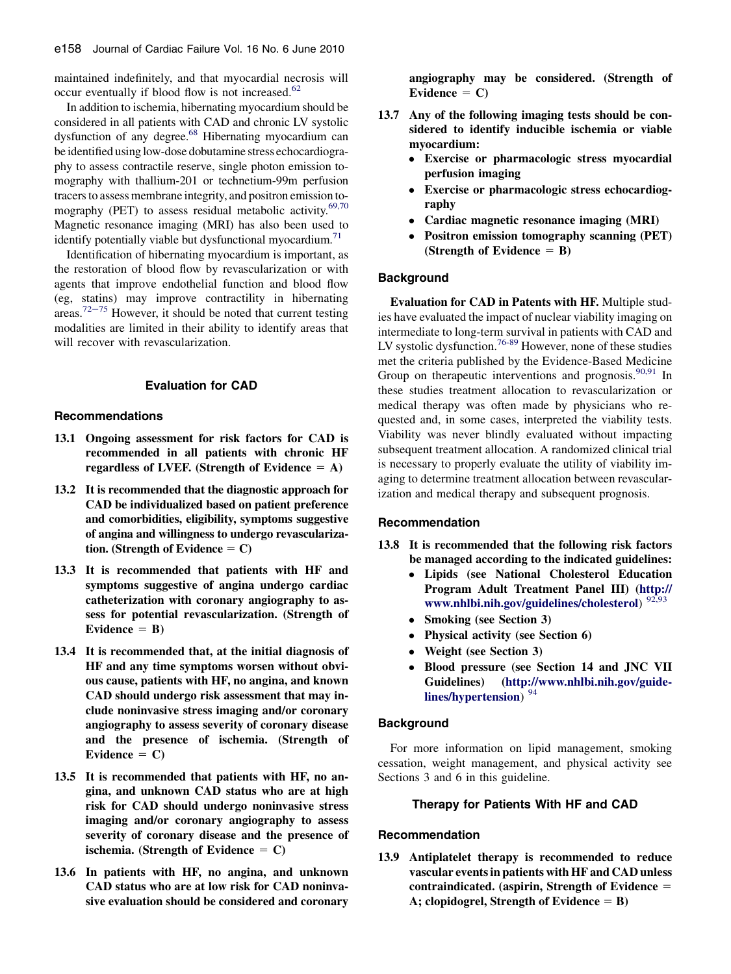maintained indefinitely, and that myocardial necrosis will occur eventually if blood flow is not increased.<sup>[62](#page-6-0)</sup>

In addition to ischemia, hibernating myocardium should be considered in all patients with CAD and chronic LV systolic dysfunction of any degree[.68](#page-6-0) Hibernating myocardium can be identified using low-dose dobutamine stress echocardiography to assess contractile reserve, single photon emission tomography with thallium-201 or technetium-99m perfusion tracers to assess membrane integrity, and positron emission to-mography (PET) to assess residual metabolic activity.<sup>[69,70](#page-6-0)</sup> Magnetic resonance imaging (MRI) has also been used to identify potentially viable but dysfunctional myocardium.<sup>71</sup>

Identification of hibernating myocardium is important, as the restoration of blood flow by revascularization or with agents that improve endothelial function and blood flow (eg, statins) may improve contractility in hibernating areas.<sup>[72](#page-6-0)–75</sup> However, it should be noted that current testing modalities are limited in their ability to identify areas that will recover with revascularization.

# Evaluation for CAD

### Recommendations

- 13.1 Ongoing assessment for risk factors for CAD is recommended in all patients with chronic HF regardless of LVEF. (Strength of Evidence  $= A$ )
- 13.2 It is recommended that the diagnostic approach for CAD be individualized based on patient preference and comorbidities, eligibility, symptoms suggestive of angina and willingness to undergo revascularization. (Strength of Evidence  $= C$ )
- 13.3 It is recommended that patients with HF and symptoms suggestive of angina undergo cardiac catheterization with coronary angiography to assess for potential revascularization. (Strength of Evidence  $=$  B)
- 13.4 It is recommended that, at the initial diagnosis of HF and any time symptoms worsen without obvious cause, patients with HF, no angina, and known CAD should undergo risk assessment that may include noninvasive stress imaging and/or coronary angiography to assess severity of coronary disease and the presence of ischemia. (Strength of Evidence  $= C$ )
- 13.5 It is recommended that patients with HF, no angina, and unknown CAD status who are at high risk for CAD should undergo noninvasive stress imaging and/or coronary angiography to assess severity of coronary disease and the presence of ischemia. (Strength of Evidence  $= C$ )
- 13.6 In patients with HF, no angina, and unknown CAD status who are at low risk for CAD noninvasive evaluation should be considered and coronary

angiography may be considered. (Strength of Evidence  $= C$ )

- 13.7 Any of the following imaging tests should be considered to identify inducible ischemia or viable myocardium:
	- Exercise or pharmacologic stress myocardial perfusion imaging
	- Exercise or pharmacologic stress echocardiography
	- Cardiac magnetic resonance imaging (MRI)
	- Positron emission tomography scanning (PET) (Strength of Evidence  $=$  B)

## Background

Evaluation for CAD in Patents with HF. Multiple studies have evaluated the impact of nuclear viability imaging on intermediate to long-term survival in patients with CAD and LV systolic dysfunction.<sup>[76-89](#page-6-0)</sup> However, none of these studies met the criteria published by the Evidence-Based Medicine Group on therapeutic interventions and prognosis.<sup>[90,91](#page-6-0)</sup> In these studies treatment allocation to revascularization or medical therapy was often made by physicians who requested and, in some cases, interpreted the viability tests. Viability was never blindly evaluated without impacting subsequent treatment allocation. A randomized clinical trial is necessary to properly evaluate the utility of viability imaging to determine treatment allocation between revascularization and medical therapy and subsequent prognosis.

#### Recommendation

- 13.8 It is recommended that the following risk factors be managed according to the indicated guidelines:
	- Lipids (see National Cholesterol Education Program Adult Treatment Panel III) ([http://](http://www.nhlbi.nih.gov/guidelines/cholesterol) [www.nhlbi.nih.gov/guidelines/cholesterol](http://www.nhlbi.nih.gov/guidelines/cholesterol)) <sup>[92,93](#page-6-0)</sup>
	- Smoking (see Section 3)
	- Physical activity (see Section 6)
	- Weight (see Section 3)
	- Blood pressure (see Section 14 and JNC VII Guidelines) ([http://www.nhlbi.nih.gov/guide](http://www.nhlbi.nih.gov/guidelines/hypertension)[lines/hypertension](http://www.nhlbi.nih.gov/guidelines/hypertension))<sup>[94](#page-6-0)</sup>

# **Background**

For more information on lipid management, smoking cessation, weight management, and physical activity see Sections 3 and 6 in this guideline.

### Therapy for Patients With HF and CAD

### Recommendation

13.9 Antiplatelet therapy is recommended to reduce vascular events in patients with HF and CAD unless  $contradicated.$  (aspirin, Strength of Evidence  $=$ A; clopidogrel, Strength of Evidence  $=$  B)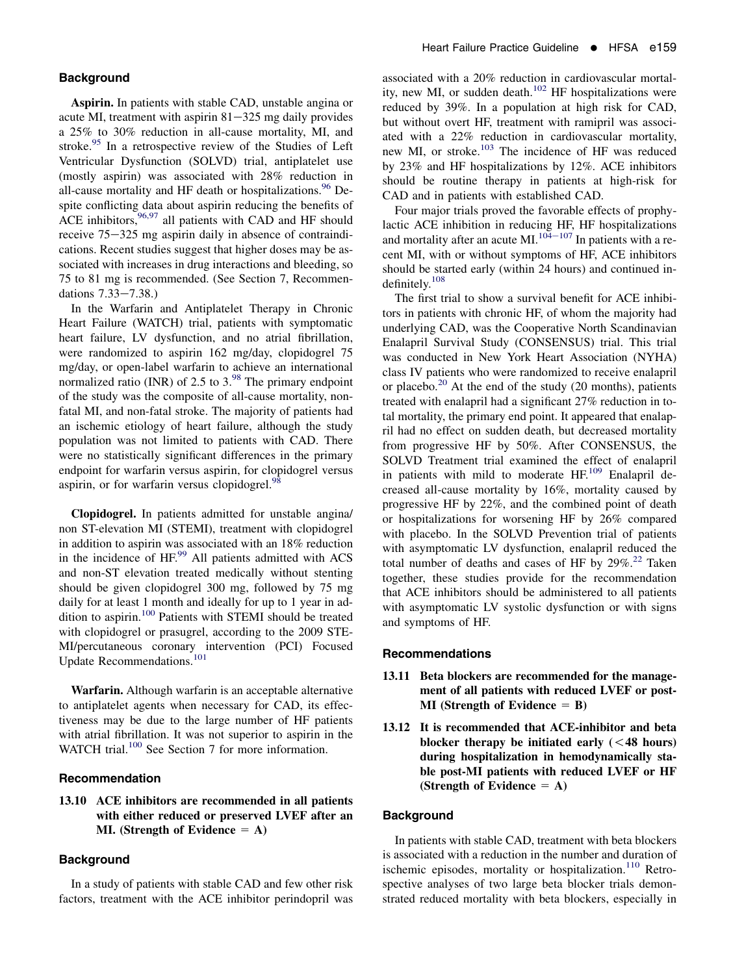## **Background**

Aspirin. In patients with stable CAD, unstable angina or acute MI, treatment with aspirin  $81-325$  mg daily provides a 25% to 30% reduction in all-cause mortality, MI, and stroke.<sup>[95](#page-7-0)</sup> In a retrospective review of the Studies of Left Ventricular Dysfunction (SOLVD) trial, antiplatelet use (mostly aspirin) was associated with 28% reduction in all-cause mortality and HF death or hospitalizations.<sup>[96](#page-7-0)</sup> Despite conflicting data about aspirin reducing the benefits of ACE inhibitors,  $96,97$  all patients with CAD and HF should receive  $75-325$  mg aspirin daily in absence of contraindications. Recent studies suggest that higher doses may be associated with increases in drug interactions and bleeding, so 75 to 81 mg is recommended. (See Section 7, Recommendations  $7.33 - 7.38$ .)

In the Warfarin and Antiplatelet Therapy in Chronic Heart Failure (WATCH) trial, patients with symptomatic heart failure, LV dysfunction, and no atrial fibrillation, were randomized to aspirin 162 mg/day, clopidogrel 75 mg/day, or open-label warfarin to achieve an international normalized ratio (INR) of 2.5 to  $3.^{98}$  $3.^{98}$  $3.^{98}$  The primary endpoint of the study was the composite of all-cause mortality, nonfatal MI, and non-fatal stroke. The majority of patients had an ischemic etiology of heart failure, although the study population was not limited to patients with CAD. There were no statistically significant differences in the primary endpoint for warfarin versus aspirin, for clopidogrel versus aspirin, or for warfarin versus clopidogrel.<sup>[98](#page-7-0)</sup>

Clopidogrel. In patients admitted for unstable angina/ non ST-elevation MI (STEMI), treatment with clopidogrel in addition to aspirin was associated with an 18% reduction in the incidence of HF.<sup>[99](#page-7-0)</sup> All patients admitted with ACS and non-ST elevation treated medically without stenting should be given clopidogrel 300 mg, followed by 75 mg daily for at least 1 month and ideally for up to 1 year in addition to aspirin.[100](#page-7-0) Patients with STEMI should be treated with clopidogrel or prasugrel, according to the 2009 STE-MI/percutaneous coronary intervention (PCI) Focused Update Recommendations.[101](#page-7-0)

Warfarin. Although warfarin is an acceptable alternative to antiplatelet agents when necessary for CAD, its effectiveness may be due to the large number of HF patients with atrial fibrillation. It was not superior to aspirin in the WATCH trial.<sup>[100](#page-7-0)</sup> See Section 7 for more information.

### Recommendation

## 13.10 ACE inhibitors are recommended in all patients with either reduced or preserved LVEF after an MI. (Strength of Evidence  $= A$ )

### **Background**

In a study of patients with stable CAD and few other risk factors, treatment with the ACE inhibitor perindopril was associated with a 20% reduction in cardiovascular mortal-ity, new MI, or sudden death.<sup>[102](#page-7-0)</sup> HF hospitalizations were reduced by 39%. In a population at high risk for CAD, but without overt HF, treatment with ramipril was associated with a 22% reduction in cardiovascular mortality, new MI, or stroke.<sup>[103](#page-7-0)</sup> The incidence of HF was reduced by 23% and HF hospitalizations by 12%. ACE inhibitors should be routine therapy in patients at high-risk for CAD and in patients with established CAD.

Four major trials proved the favorable effects of prophylactic ACE inhibition in reducing HF, HF hospitalizations and mortality after an acute MI. $104-107$  $104-107$  In patients with a recent MI, with or without symptoms of HF, ACE inhibitors should be started early (within 24 hours) and continued indefinitely.[108](#page-7-0)

The first trial to show a survival benefit for ACE inhibitors in patients with chronic HF, of whom the majority had underlying CAD, was the Cooperative North Scandinavian Enalapril Survival Study (CONSENSUS) trial. This trial was conducted in New York Heart Association (NYHA) class IV patients who were randomized to receive enalapril or placebo.<sup>[20](#page-4-0)</sup> At the end of the study  $(20 \text{ months})$ , patients treated with enalapril had a significant 27% reduction in total mortality, the primary end point. It appeared that enalapril had no effect on sudden death, but decreased mortality from progressive HF by 50%. After CONSENSUS, the SOLVD Treatment trial examined the effect of enalapril in patients with mild to moderate  $HF<sup>109</sup>$  $HF<sup>109</sup>$  $HF<sup>109</sup>$  Enalapril decreased all-cause mortality by 16%, mortality caused by progressive HF by 22%, and the combined point of death or hospitalizations for worsening HF by 26% compared with placebo. In the SOLVD Prevention trial of patients with asymptomatic LV dysfunction, enalapril reduced the total number of deaths and cases of HF by  $29\%$ <sup>[22](#page-4-0)</sup> Taken together, these studies provide for the recommendation that ACE inhibitors should be administered to all patients with asymptomatic LV systolic dysfunction or with signs and symptoms of HF.

#### Recommendations

- 13.11 Beta blockers are recommended for the management of all patients with reduced LVEF or post-MI (Strength of Evidence  $=$  B)
- 13.12 It is recommended that ACE-inhibitor and beta blocker therapy be initiated early  $(< 48$  hours) during hospitalization in hemodynamically stable post-MI patients with reduced LVEF or HF (Strength of Evidence  $= A$ )

## **Background**

In patients with stable CAD, treatment with beta blockers is associated with a reduction in the number and duration of ischemic episodes, mortality or hospitalization.<sup>[110](#page-7-0)</sup> Retrospective analyses of two large beta blocker trials demonstrated reduced mortality with beta blockers, especially in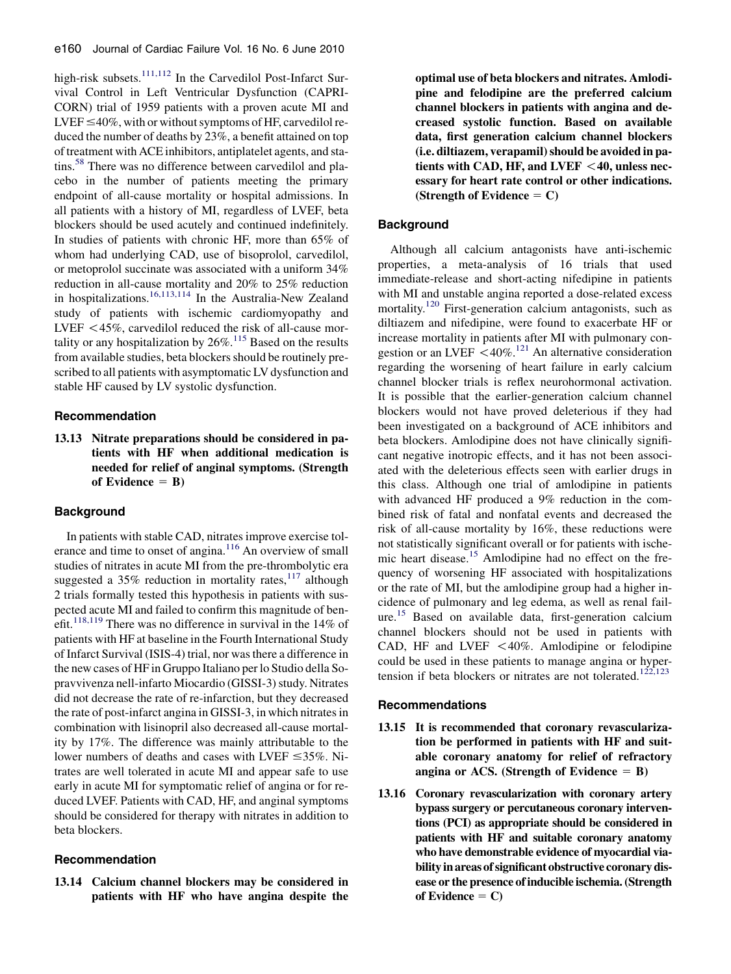high-risk subsets.<sup>[111,112](#page-7-0)</sup> In the Carvedilol Post-Infarct Survival Control in Left Ventricular Dysfunction (CAPRI-CORN) trial of 1959 patients with a proven acute MI and LVEF  $\leq$ 40%, with or without symptoms of HF, carvedilol reduced the number of deaths by 23%, a benefit attained on top of treatment with ACE inhibitors, antiplatelet agents, and sta-tins.<sup>[58](#page-5-0)</sup> There was no difference between carvedilol and placebo in the number of patients meeting the primary endpoint of all-cause mortality or hospital admissions. In all patients with a history of MI, regardless of LVEF, beta blockers should be used acutely and continued indefinitely. In studies of patients with chronic HF, more than 65% of whom had underlying CAD, use of bisoprolol, carvedilol, or metoprolol succinate was associated with a uniform 34% reduction in all-cause mortality and 20% to 25% reduction in hospitalizations.[16,113,114](#page-4-0) In the Australia-New Zealand study of patients with ischemic cardiomyopathy and LVEF  $\langle 45\%$ , carvedilol reduced the risk of all-cause mortality or any hospitalization by  $26\%$ .<sup>[115](#page-7-0)</sup> Based on the results from available studies, beta blockers should be routinely prescribed to all patients with asymptomatic LV dysfunction and stable HF caused by LV systolic dysfunction.

### Recommendation

13.13 Nitrate preparations should be considered in patients with HF when additional medication is needed for relief of anginal symptoms. (Strength of Evidence  $=$  B)

## **Background**

In patients with stable CAD, nitrates improve exercise tolerance and time to onset of angina.<sup>116</sup> An overview of small studies of nitrates in acute MI from the pre-thrombolytic era suggested a 35% reduction in mortality rates, $117$  although 2 trials formally tested this hypothesis in patients with suspected acute MI and failed to confirm this magnitude of ben-efit.<sup>[118,119](#page-7-0)</sup> There was no difference in survival in the 14% of patients with HF at baseline in the Fourth International Study of Infarct Survival (ISIS-4) trial, nor was there a difference in the new cases of HF in Gruppo Italiano per lo Studio della Sopravvivenza nell-infarto Miocardio (GISSI-3) study. Nitrates did not decrease the rate of re-infarction, but they decreased the rate of post-infarct angina in GISSI-3, in which nitrates in combination with lisinopril also decreased all-cause mortality by 17%. The difference was mainly attributable to the lower numbers of deaths and cases with LVEF  $\leq$ 35%. Nitrates are well tolerated in acute MI and appear safe to use early in acute MI for symptomatic relief of angina or for reduced LVEF. Patients with CAD, HF, and anginal symptoms should be considered for therapy with nitrates in addition to beta blockers.

### Recommendation

13.14 Calcium channel blockers may be considered in patients with HF who have angina despite the

optimal use of beta blockers and nitrates. Amlodipine and felodipine are the preferred calcium channel blockers in patients with angina and decreased systolic function. Based on available data, first generation calcium channel blockers (i.e. diltiazem, verapamil) should be avoided in patients with CAD, HF, and LVEF  $<$  40, unless necessary for heart rate control or other indications. (Strength of Evidence  $= C$ )

## **Background**

Although all calcium antagonists have anti-ischemic properties, a meta-analysis of 16 trials that used immediate-release and short-acting nifedipine in patients with MI and unstable angina reported a dose-related excess mortality.<sup>[120](#page-7-0)</sup> First-generation calcium antagonists, such as diltiazem and nifedipine, were found to exacerbate HF or increase mortality in patients after MI with pulmonary congestion or an LVEF  $\leq 40\%$ .<sup>[121](#page-7-0)</sup> An alternative consideration regarding the worsening of heart failure in early calcium channel blocker trials is reflex neurohormonal activation. It is possible that the earlier-generation calcium channel blockers would not have proved deleterious if they had been investigated on a background of ACE inhibitors and beta blockers. Amlodipine does not have clinically significant negative inotropic effects, and it has not been associated with the deleterious effects seen with earlier drugs in this class. Although one trial of amlodipine in patients with advanced HF produced a 9% reduction in the combined risk of fatal and nonfatal events and decreased the risk of all-cause mortality by 16%, these reductions were not statistically significant overall or for patients with ischemic heart disease.[15](#page-4-0) Amlodipine had no effect on the frequency of worsening HF associated with hospitalizations or the rate of MI, but the amlodipine group had a higher incidence of pulmonary and leg edema, as well as renal fail-ure.<sup>[15](#page-4-0)</sup> Based on available data, first-generation calcium channel blockers should not be used in patients with CAD, HF and LVEF  $\lt$  40%. Amlodipine or felodipine could be used in these patients to manage angina or hyper-tension if beta blockers or nitrates are not tolerated.<sup>[122,123](#page-7-0)</sup>

#### Recommendations

- 13.15 It is recommended that coronary revascularization be performed in patients with HF and suitable coronary anatomy for relief of refractory angina or ACS. (Strength of Evidence  $=$  B)
- 13.16 Coronary revascularization with coronary artery bypass surgery or percutaneous coronary interventions (PCI) as appropriate should be considered in patients with HF and suitable coronary anatomy who have demonstrable evidence of myocardial viability in areas of significant obstructive coronary disease or the presence of inducible ischemia. (Strength of Evidence  $= C$ )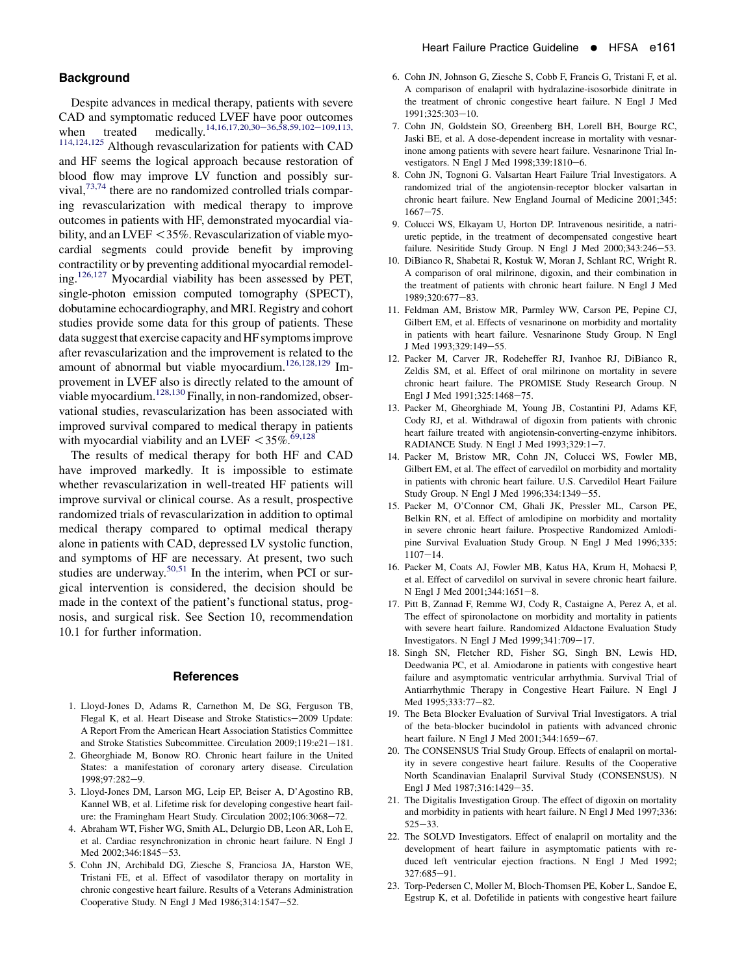### <span id="page-4-0"></span>**Background**

Despite advances in medical therapy, patients with severe CAD and symptomatic reduced LVEF have poor outcomes when treated medically.<sup>14,16,17,20,30–36,58,59,102–109,113,</sup> 114,124,125 Although revascularization for patients with CAD and HF seems the logical approach because restoration of blood flow may improve LV function and possibly survival,  $73,74$  there are no randomized controlled trials comparing revascularization with medical therapy to improve outcomes in patients with HF, demonstrated myocardial viability, and an LVEF  $<$  35%. Revascularization of viable myocardial segments could provide benefit by improving contractility or by preventing additional myocardial remodeling.[126,127](#page-7-0) Myocardial viability has been assessed by PET, single-photon emission computed tomography (SPECT), dobutamine echocardiography, and MRI. Registry and cohort studies provide some data for this group of patients. These data suggest that exercise capacity and HF symptoms improve after revascularization and the improvement is related to the amount of abnormal but viable myocardium.[126,128,129](#page-7-0) Improvement in LVEF also is directly related to the amount of viable myocardium.<sup>128,130</sup> Finally, in non-randomized, observational studies, revascularization has been associated with improved survival compared to medical therapy in patients with myocardial viability and an LVEF  $\langle 35\% \cdot$ <sup>69,128</sup>

The results of medical therapy for both HF and CAD have improved markedly. It is impossible to estimate whether revascularization in well-treated HF patients will improve survival or clinical course. As a result, prospective randomized trials of revascularization in addition to optimal medical therapy compared to optimal medical therapy alone in patients with CAD, depressed LV systolic function, and symptoms of HF are necessary. At present, two such studies are underway.<sup>[50,51](#page-5-0)</sup> In the interim, when PCI or surgical intervention is considered, the decision should be made in the context of the patient's functional status, prognosis, and surgical risk. See Section 10, recommendation 10.1 for further information.

## **References**

- 1. Lloyd-Jones D, Adams R, Carnethon M, De SG, Ferguson TB, Flegal K, et al. Heart Disease and Stroke Statistics-2009 Update: A Report From the American Heart Association Statistics Committee and Stroke Statistics Subcommittee. Circulation 2009;119:e21-181.
- 2. Gheorghiade M, Bonow RO. Chronic heart failure in the United States: a manifestation of coronary artery disease. Circulation 1998;97:282-9.
- 3. Lloyd-Jones DM, Larson MG, Leip EP, Beiser A, D'Agostino RB, Kannel WB, et al. Lifetime risk for developing congestive heart failure: the Framingham Heart Study. Circulation 2002;106:3068-72.
- 4. Abraham WT, Fisher WG, Smith AL, Delurgio DB, Leon AR, Loh E, et al. Cardiac resynchronization in chronic heart failure. N Engl J Med 2002;346:1845-53.
- 5. Cohn JN, Archibald DG, Ziesche S, Franciosa JA, Harston WE, Tristani FE, et al. Effect of vasodilator therapy on mortality in chronic congestive heart failure. Results of a Veterans Administration Cooperative Study. N Engl J Med  $1986;314:1547-52$ .
- 6. Cohn JN, Johnson G, Ziesche S, Cobb F, Francis G, Tristani F, et al. A comparison of enalapril with hydralazine-isosorbide dinitrate in the treatment of chronic congestive heart failure. N Engl J Med 1991;325:303-10.
- 7. Cohn JN, Goldstein SO, Greenberg BH, Lorell BH, Bourge RC, Jaski BE, et al. A dose-dependent increase in mortality with vesnarinone among patients with severe heart failure. Vesnarinone Trial Investigators. N Engl J Med 1998;339:1810-6.
- 8. Cohn JN, Tognoni G. Valsartan Heart Failure Trial Investigators. A randomized trial of the angiotensin-receptor blocker valsartan in chronic heart failure. New England Journal of Medicine 2001;345:  $1667 - 75$ .
- 9. Colucci WS, Elkayam U, Horton DP. Intravenous nesiritide, a natriuretic peptide, in the treatment of decompensated congestive heart failure. Nesiritide Study Group. N Engl J Med 2000;343:246-53.
- 10. DiBianco R, Shabetai R, Kostuk W, Moran J, Schlant RC, Wright R. A comparison of oral milrinone, digoxin, and their combination in the treatment of patients with chronic heart failure. N Engl J Med 1989;320:677-83.
- 11. Feldman AM, Bristow MR, Parmley WW, Carson PE, Pepine CJ, Gilbert EM, et al. Effects of vesnarinone on morbidity and mortality in patients with heart failure. Vesnarinone Study Group. N Engl J Med 1993;329:149-55.
- 12. Packer M, Carver JR, Rodeheffer RJ, Ivanhoe RJ, DiBianco R, Zeldis SM, et al. Effect of oral milrinone on mortality in severe chronic heart failure. The PROMISE Study Research Group. N Engl J Med 1991;325:1468-75.
- 13. Packer M, Gheorghiade M, Young JB, Costantini PJ, Adams KF, Cody RJ, et al. Withdrawal of digoxin from patients with chronic heart failure treated with angiotensin-converting-enzyme inhibitors. RADIANCE Study. N Engl J Med 1993;329:1-7.
- 14. Packer M, Bristow MR, Cohn JN, Colucci WS, Fowler MB, Gilbert EM, et al. The effect of carvedilol on morbidity and mortality in patients with chronic heart failure. U.S. Carvedilol Heart Failure Study Group. N Engl J Med 1996;334:1349-55.
- 15. Packer M, O'Connor CM, Ghali JK, Pressler ML, Carson PE, Belkin RN, et al. Effect of amlodipine on morbidity and mortality in severe chronic heart failure. Prospective Randomized Amlodipine Survival Evaluation Study Group. N Engl J Med 1996;335:  $1107 - 14.$
- 16. Packer M, Coats AJ, Fowler MB, Katus HA, Krum H, Mohacsi P, et al. Effect of carvedilol on survival in severe chronic heart failure. N Engl J Med 2001;344:1651-8.
- 17. Pitt B, Zannad F, Remme WJ, Cody R, Castaigne A, Perez A, et al. The effect of spironolactone on morbidity and mortality in patients with severe heart failure. Randomized Aldactone Evaluation Study Investigators. N Engl J Med 1999;341:709-17.
- 18. Singh SN, Fletcher RD, Fisher SG, Singh BN, Lewis HD, Deedwania PC, et al. Amiodarone in patients with congestive heart failure and asymptomatic ventricular arrhythmia. Survival Trial of Antiarrhythmic Therapy in Congestive Heart Failure. N Engl J Med 1995;333:77-82.
- 19. The Beta Blocker Evaluation of Survival Trial Investigators. A trial of the beta-blocker bucindolol in patients with advanced chronic heart failure. N Engl J Med 2001;344:1659-67.
- 20. The CONSENSUS Trial Study Group. Effects of enalapril on mortality in severe congestive heart failure. Results of the Cooperative North Scandinavian Enalapril Survival Study (CONSENSUS). N Engl J Med 1987;316:1429-35.
- 21. The Digitalis Investigation Group. The effect of digoxin on mortality and morbidity in patients with heart failure. N Engl J Med 1997;336:  $525 - 33$ .
- 22. The SOLVD Investigators. Effect of enalapril on mortality and the development of heart failure in asymptomatic patients with reduced left ventricular ejection fractions. N Engl J Med 1992; 327:685-91.
- 23. Torp-Pedersen C, Moller M, Bloch-Thomsen PE, Kober L, Sandoe E, Egstrup K, et al. Dofetilide in patients with congestive heart failure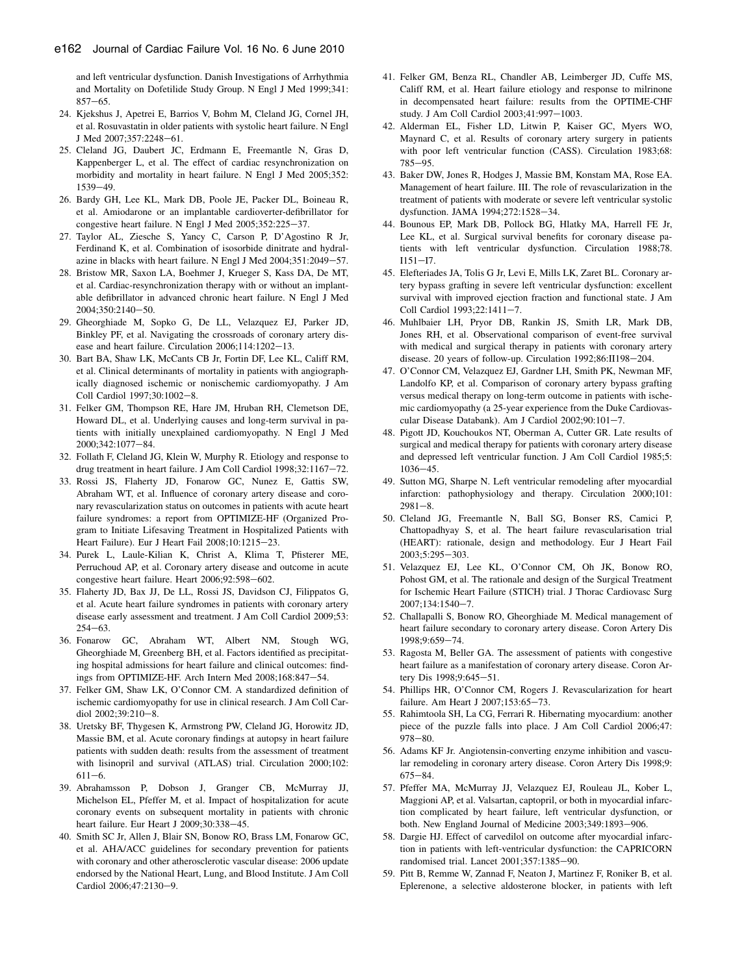<span id="page-5-0"></span>and left ventricular dysfunction. Danish Investigations of Arrhythmia and Mortality on Dofetilide Study Group. N Engl J Med 1999;341:  $857 - 65$ .

- 24. Kjekshus J, Apetrei E, Barrios V, Bohm M, Cleland JG, Cornel JH, et al. Rosuvastatin in older patients with systolic heart failure. N Engl J Med 2007;357:2248-61.
- 25. Cleland JG, Daubert JC, Erdmann E, Freemantle N, Gras D, Kappenberger L, et al. The effect of cardiac resynchronization on morbidity and mortality in heart failure. N Engl J Med 2005;352: 1539-49.
- 26. Bardy GH, Lee KL, Mark DB, Poole JE, Packer DL, Boineau R, et al. Amiodarone or an implantable cardioverter-defibrillator for congestive heart failure. N Engl J Med 2005;352:225-37.
- 27. Taylor AL, Ziesche S, Yancy C, Carson P, D'Agostino R Jr, Ferdinand K, et al. Combination of isosorbide dinitrate and hydralazine in blacks with heart failure. N Engl J Med  $2004;351:2049-57$ .
- 28. Bristow MR, Saxon LA, Boehmer J, Krueger S, Kass DA, De MT, et al. Cardiac-resynchronization therapy with or without an implantable defibrillator in advanced chronic heart failure. N Engl J Med 2004;350:2140-50.
- 29. Gheorghiade M, Sopko G, De LL, Velazquez EJ, Parker JD, Binkley PF, et al. Navigating the crossroads of coronary artery disease and heart failure. Circulation  $2006;114:1202-13$ .
- 30. Bart BA, Shaw LK, McCants CB Jr, Fortin DF, Lee KL, Califf RM, et al. Clinical determinants of mortality in patients with angiographically diagnosed ischemic or nonischemic cardiomyopathy. J Am Coll Cardiol 1997;30:1002-8.
- 31. Felker GM, Thompson RE, Hare JM, Hruban RH, Clemetson DE, Howard DL, et al. Underlying causes and long-term survival in patients with initially unexplained cardiomyopathy. N Engl J Med 2000;342:1077-84.
- 32. Follath F, Cleland JG, Klein W, Murphy R. Etiology and response to drug treatment in heart failure. J Am Coll Cardiol 1998;32:1167-72.
- 33. Rossi JS, Flaherty JD, Fonarow GC, Nunez E, Gattis SW, Abraham WT, et al. Influence of coronary artery disease and coronary revascularization status on outcomes in patients with acute heart failure syndromes: a report from OPTIMIZE-HF (Organized Program to Initiate Lifesaving Treatment in Hospitalized Patients with Heart Failure). Eur J Heart Fail 2008;10:1215-23.
- 34. Purek L, Laule-Kilian K, Christ A, Klima T, Pfisterer ME, Perruchoud AP, et al. Coronary artery disease and outcome in acute congestive heart failure. Heart 2006;92:598-602.
- 35. Flaherty JD, Bax JJ, De LL, Rossi JS, Davidson CJ, Filippatos G, et al. Acute heart failure syndromes in patients with coronary artery disease early assessment and treatment. J Am Coll Cardiol 2009;53:  $254 - 63$ .
- 36. Fonarow GC, Abraham WT, Albert NM, Stough WG, Gheorghiade M, Greenberg BH, et al. Factors identified as precipitating hospital admissions for heart failure and clinical outcomes: findings from OPTIMIZE-HF. Arch Intern Med 2008;168:847-54.
- 37. Felker GM, Shaw LK, O'Connor CM. A standardized definition of ischemic cardiomyopathy for use in clinical research. J Am Coll Cardiol 2002;39:210-8.
- 38. Uretsky BF, Thygesen K, Armstrong PW, Cleland JG, Horowitz JD, Massie BM, et al. Acute coronary findings at autopsy in heart failure patients with sudden death: results from the assessment of treatment with lisinopril and survival (ATLAS) trial. Circulation 2000;102:  $611 - 6$ .
- 39. Abrahamsson P, Dobson J, Granger CB, McMurray JJ, Michelson EL, Pfeffer M, et al. Impact of hospitalization for acute coronary events on subsequent mortality in patients with chronic heart failure. Eur Heart J 2009;30:338-45.
- 40. Smith SC Jr, Allen J, Blair SN, Bonow RO, Brass LM, Fonarow GC, et al. AHA/ACC guidelines for secondary prevention for patients with coronary and other atherosclerotic vascular disease: 2006 update endorsed by the National Heart, Lung, and Blood Institute. J Am Coll Cardiol 2006;47:2130-9.
- 41. Felker GM, Benza RL, Chandler AB, Leimberger JD, Cuffe MS, Califf RM, et al. Heart failure etiology and response to milrinone in decompensated heart failure: results from the OPTIME-CHF study. J Am Coll Cardiol 2003;41:997-1003.
- 42. Alderman EL, Fisher LD, Litwin P, Kaiser GC, Myers WO, Maynard C, et al. Results of coronary artery surgery in patients with poor left ventricular function (CASS). Circulation 1983;68: 785-95.
- 43. Baker DW, Jones R, Hodges J, Massie BM, Konstam MA, Rose EA. Management of heart failure. III. The role of revascularization in the treatment of patients with moderate or severe left ventricular systolic dysfunction. JAMA 1994;272:1528-34.
- 44. Bounous EP, Mark DB, Pollock BG, Hlatky MA, Harrell FE Jr, Lee KL, et al. Surgical survival benefits for coronary disease patients with left ventricular dysfunction. Circulation 1988;78.  $I151 - I7.$
- 45. Elefteriades JA, Tolis G Jr, Levi E, Mills LK, Zaret BL. Coronary artery bypass grafting in severe left ventricular dysfunction: excellent survival with improved ejection fraction and functional state. J Am Coll Cardiol 1993;22:1411-7.
- 46. Muhlbaier LH, Pryor DB, Rankin JS, Smith LR, Mark DB, Jones RH, et al. Observational comparison of event-free survival with medical and surgical therapy in patients with coronary artery disease. 20 years of follow-up. Circulation 1992;86:II198-204.
- 47. O'Connor CM, Velazquez EJ, Gardner LH, Smith PK, Newman MF, Landolfo KP, et al. Comparison of coronary artery bypass grafting versus medical therapy on long-term outcome in patients with ischemic cardiomyopathy (a 25-year experience from the Duke Cardiovascular Disease Databank). Am J Cardiol  $2002;90:101-7$ .
- 48. Pigott JD, Kouchoukos NT, Oberman A, Cutter GR. Late results of surgical and medical therapy for patients with coronary artery disease and depressed left ventricular function. J Am Coll Cardiol 1985;5:  $1036 - 45.$
- 49. Sutton MG, Sharpe N. Left ventricular remodeling after myocardial infarction: pathophysiology and therapy. Circulation 2000;101:  $2981 - 8.$
- 50. Cleland JG, Freemantle N, Ball SG, Bonser RS, Camici P, Chattopadhyay S, et al. The heart failure revascularisation trial (HEART): rationale, design and methodology. Eur J Heart Fail 2003;5:295-303.
- 51. Velazquez EJ, Lee KL, O'Connor CM, Oh JK, Bonow RO, Pohost GM, et al. The rationale and design of the Surgical Treatment for Ischemic Heart Failure (STICH) trial. J Thorac Cardiovasc Surg 2007;134:1540-7.
- 52. Challapalli S, Bonow RO, Gheorghiade M. Medical management of heart failure secondary to coronary artery disease. Coron Artery Dis 1998;9:659-74.
- 53. Ragosta M, Beller GA. The assessment of patients with congestive heart failure as a manifestation of coronary artery disease. Coron Artery Dis 1998;9:645-51.
- 54. Phillips HR, O'Connor CM, Rogers J. Revascularization for heart failure. Am Heart J 2007;153:65-73.
- 55. Rahimtoola SH, La CG, Ferrari R. Hibernating myocardium: another piece of the puzzle falls into place. J Am Coll Cardiol 2006;47:  $978 - 80.$
- 56. Adams KF Jr. Angiotensin-converting enzyme inhibition and vascular remodeling in coronary artery disease. Coron Artery Dis 1998;9:  $675 - 84.$
- 57. Pfeffer MA, McMurray JJ, Velazquez EJ, Rouleau JL, Kober L, Maggioni AP, et al. Valsartan, captopril, or both in myocardial infarction complicated by heart failure, left ventricular dysfunction, or both. New England Journal of Medicine 2003;349:1893-906.
- 58. Dargie HJ. Effect of carvedilol on outcome after myocardial infarction in patients with left-ventricular dysfunction: the CAPRICORN randomised trial. Lancet 2001;357:1385-90.
- 59. Pitt B, Remme W, Zannad F, Neaton J, Martinez F, Roniker B, et al. Eplerenone, a selective aldosterone blocker, in patients with left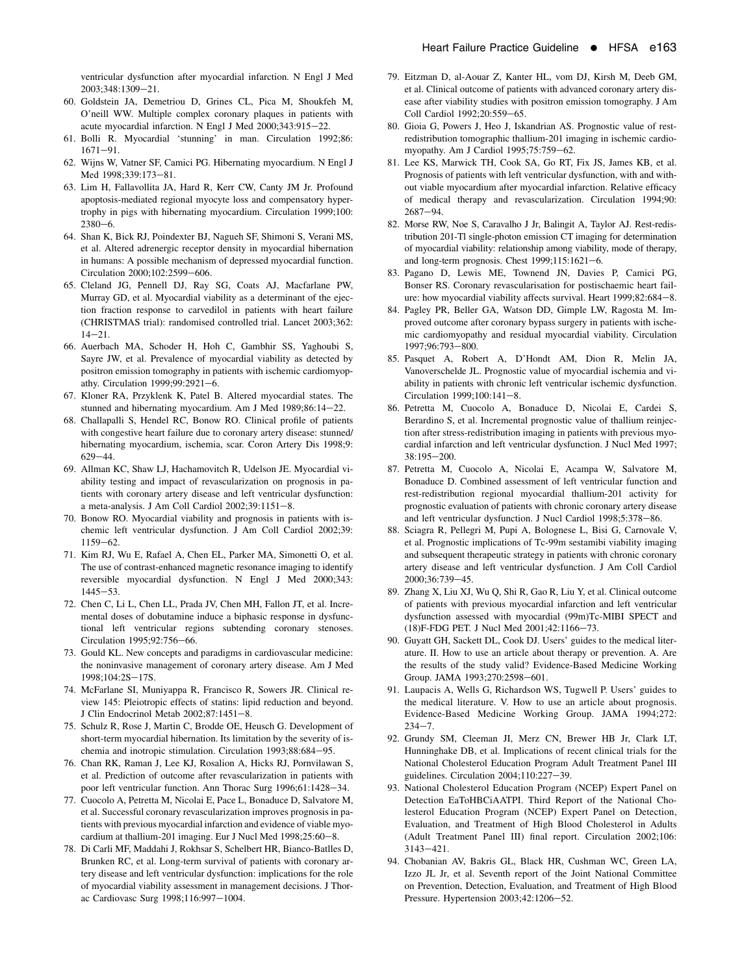<span id="page-6-0"></span>ventricular dysfunction after myocardial infarction. N Engl J Med 2003:348:1309-21.

- 60. Goldstein JA, Demetriou D, Grines CL, Pica M, Shoukfeh M, O'neill WW. Multiple complex coronary plaques in patients with acute myocardial infarction. N Engl J Med 2000;343:915-22.
- 61. Bolli R. Myocardial 'stunning' in man. Circulation 1992;86:  $1671 - 91.$
- 62. Wijns W, Vatner SF, Camici PG. Hibernating myocardium. N Engl J Med 1998;339:173-81.
- 63. Lim H, Fallavollita JA, Hard R, Kerr CW, Canty JM Jr. Profound apoptosis-mediated regional myocyte loss and compensatory hypertrophy in pigs with hibernating myocardium. Circulation 1999;100:  $2380 - 6$ .
- 64. Shan K, Bick RJ, Poindexter BJ, Nagueh SF, Shimoni S, Verani MS, et al. Altered adrenergic receptor density in myocardial hibernation in humans: A possible mechanism of depressed myocardial function. Circulation 2000;102:2599-606.
- 65. Cleland JG, Pennell DJ, Ray SG, Coats AJ, Macfarlane PW, Murray GD, et al. Myocardial viability as a determinant of the ejection fraction response to carvedilol in patients with heart failure (CHRISTMAS trial): randomised controlled trial. Lancet 2003;362:  $14 - 21$ .
- 66. Auerbach MA, Schoder H, Hoh C, Gambhir SS, Yaghoubi S, Sayre JW, et al. Prevalence of myocardial viability as detected by positron emission tomography in patients with ischemic cardiomyopathy. Circulation  $1999:99:2921-6$ .
- 67. Kloner RA, Przyklenk K, Patel B. Altered myocardial states. The stunned and hibernating myocardium. Am J Med  $1989;86:14-22$ .
- 68. Challapalli S, Hendel RC, Bonow RO. Clinical profile of patients with congestive heart failure due to coronary artery disease: stunned/ hibernating myocardium, ischemia, scar. Coron Artery Dis 1998;9:  $629 - 44.$
- 69. Allman KC, Shaw LJ, Hachamovitch R, Udelson JE. Myocardial viability testing and impact of revascularization on prognosis in patients with coronary artery disease and left ventricular dysfunction: a meta-analysis. J Am Coll Cardiol 2002;39:1151-8.
- 70. Bonow RO. Myocardial viability and prognosis in patients with ischemic left ventricular dysfunction. J Am Coll Cardiol 2002;39:  $1159 - 62.$
- 71. Kim RJ, Wu E, Rafael A, Chen EL, Parker MA, Simonetti O, et al. The use of contrast-enhanced magnetic resonance imaging to identify reversible myocardial dysfunction. N Engl J Med 2000;343:  $1445 - 53$ .
- 72. Chen C, Li L, Chen LL, Prada JV, Chen MH, Fallon JT, et al. Incremental doses of dobutamine induce a biphasic response in dysfunctional left ventricular regions subtending coronary stenoses. Circulation 1995;92:756-66.
- 73. Gould KL. New concepts and paradigms in cardiovascular medicine: the noninvasive management of coronary artery disease. Am J Med 1998;104:2S-17S.
- 74. McFarlane SI, Muniyappa R, Francisco R, Sowers JR. Clinical review 145: Pleiotropic effects of statins: lipid reduction and beyond. J Clin Endocrinol Metab 2002;87:1451-8.
- 75. Schulz R, Rose J, Martin C, Brodde OE, Heusch G. Development of short-term myocardial hibernation. Its limitation by the severity of ischemia and inotropic stimulation. Circulation 1993;88:684-95.
- 76. Chan RK, Raman J, Lee KJ, Rosalion A, Hicks RJ, Pornvilawan S, et al. Prediction of outcome after revascularization in patients with poor left ventricular function. Ann Thorac Surg 1996;61:1428-34.
- 77. Cuocolo A, Petretta M, Nicolai E, Pace L, Bonaduce D, Salvatore M, et al. Successful coronary revascularization improves prognosis in patients with previous myocardial infarction and evidence of viable myocardium at thallium-201 imaging. Eur J Nucl Med 1998;25:60-8.
- 78. Di Carli MF, Maddahi J, Rokhsar S, Schelbert HR, Bianco-Batlles D, Brunken RC, et al. Long-term survival of patients with coronary artery disease and left ventricular dysfunction: implications for the role of myocardial viability assessment in management decisions. J Thorac Cardiovasc Surg 1998;116:997-1004.
- 79. Eitzman D, al-Aouar Z, Kanter HL, vom DJ, Kirsh M, Deeb GM, et al. Clinical outcome of patients with advanced coronary artery disease after viability studies with positron emission tomography. J Am Coll Cardiol 1992;20:559-65.
- 80. Gioia G, Powers J, Heo J, Iskandrian AS. Prognostic value of restredistribution tomographic thallium-201 imaging in ischemic cardiomyopathy. Am J Cardiol 1995;75:759-62.
- 81. Lee KS, Marwick TH, Cook SA, Go RT, Fix JS, James KB, et al. Prognosis of patients with left ventricular dysfunction, with and without viable myocardium after myocardial infarction. Relative efficacy of medical therapy and revascularization. Circulation 1994;90:  $2687 - 94.$
- 82. Morse RW, Noe S, Caravalho J Jr, Balingit A, Taylor AJ. Rest-redistribution 201-Tl single-photon emission CT imaging for determination of myocardial viability: relationship among viability, mode of therapy, and long-term prognosis. Chest  $1999;115:1621-6$ .
- 83. Pagano D, Lewis ME, Townend JN, Davies P, Camici PG, Bonser RS. Coronary revascularisation for postischaemic heart failure: how myocardial viability affects survival. Heart 1999;82:684-8.
- 84. Pagley PR, Beller GA, Watson DD, Gimple LW, Ragosta M. Improved outcome after coronary bypass surgery in patients with ischemic cardiomyopathy and residual myocardial viability. Circulation 1997;96:793-800.
- 85. Pasquet A, Robert A, D'Hondt AM, Dion R, Melin JA, Vanoverschelde JL. Prognostic value of myocardial ischemia and viability in patients with chronic left ventricular ischemic dysfunction. Circulation 1999;100:141-8.
- 86. Petretta M, Cuocolo A, Bonaduce D, Nicolai E, Cardei S, Berardino S, et al. Incremental prognostic value of thallium reinjection after stress-redistribution imaging in patients with previous myocardial infarction and left ventricular dysfunction. J Nucl Med 1997; 38:195-200.
- 87. Petretta M, Cuocolo A, Nicolai E, Acampa W, Salvatore M, Bonaduce D. Combined assessment of left ventricular function and rest-redistribution regional myocardial thallium-201 activity for prognostic evaluation of patients with chronic coronary artery disease and left ventricular dysfunction. J Nucl Cardiol 1998;5:378-86.
- 88. Sciagra R, Pellegri M, Pupi A, Bolognese L, Bisi G, Carnovale V, et al. Prognostic implications of Tc-99m sestamibi viability imaging and subsequent therapeutic strategy in patients with chronic coronary artery disease and left ventricular dysfunction. J Am Coll Cardiol 2000:36:739-45.
- 89. Zhang X, Liu XJ, Wu Q, Shi R, Gao R, Liu Y, et al. Clinical outcome of patients with previous myocardial infarction and left ventricular dysfunction assessed with myocardial (99m)Tc-MIBI SPECT and (18)F-FDG PET. J Nucl Med 2001;42:1166-73.
- 90. Guyatt GH, Sackett DL, Cook DJ. Users' guides to the medical literature. II. How to use an article about therapy or prevention. A. Are the results of the study valid? Evidence-Based Medicine Working Group. JAMA 1993;270:2598-601.
- 91. Laupacis A, Wells G, Richardson WS, Tugwell P. Users' guides to the medical literature. V. How to use an article about prognosis. Evidence-Based Medicine Working Group. JAMA 1994;272:  $234 - 7.$
- 92. Grundy SM, Cleeman JI, Merz CN, Brewer HB Jr, Clark LT, Hunninghake DB, et al. Implications of recent clinical trials for the National Cholesterol Education Program Adult Treatment Panel III guidelines. Circulation  $2004;110:227-39$ .
- 93. National Cholesterol Education Program (NCEP) Expert Panel on Detection EaToHBCiAATPI. Third Report of the National Cholesterol Education Program (NCEP) Expert Panel on Detection, Evaluation, and Treatment of High Blood Cholesterol in Adults (Adult Treatment Panel III) final report. Circulation 2002;106:  $3143 - 421$ .
- 94. Chobanian AV, Bakris GL, Black HR, Cushman WC, Green LA, Izzo JL Jr, et al. Seventh report of the Joint National Committee on Prevention, Detection, Evaluation, and Treatment of High Blood Pressure. Hypertension 2003;42:1206-52.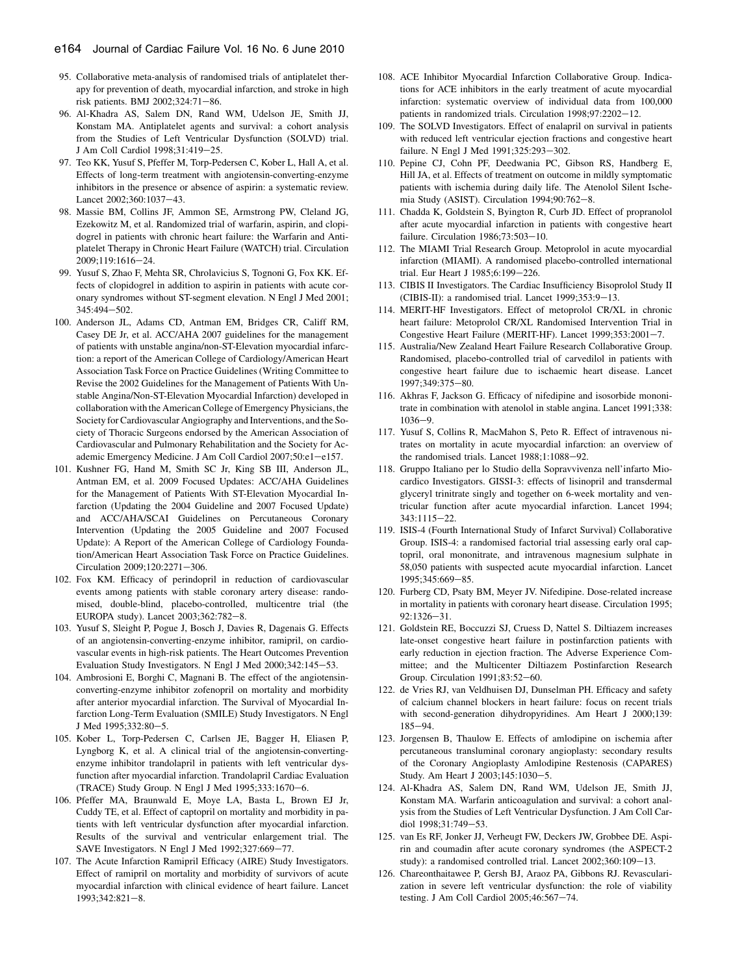- <span id="page-7-0"></span>95. Collaborative meta-analysis of randomised trials of antiplatelet therapy for prevention of death, myocardial infarction, and stroke in high risk patients. BMJ 2002;324:71-86.
- 96. Al-Khadra AS, Salem DN, Rand WM, Udelson JE, Smith JJ, Konstam MA. Antiplatelet agents and survival: a cohort analysis from the Studies of Left Ventricular Dysfunction (SOLVD) trial. J Am Coll Cardiol 1998;31:419-25.
- 97. Teo KK, Yusuf S, Pfeffer M, Torp-Pedersen C, Kober L, Hall A, et al. Effects of long-term treatment with angiotensin-converting-enzyme inhibitors in the presence or absence of aspirin: a systematic review. Lancet 2002:360:1037-43.
- 98. Massie BM, Collins JF, Ammon SE, Armstrong PW, Cleland JG, Ezekowitz M, et al. Randomized trial of warfarin, aspirin, and clopidogrel in patients with chronic heart failure: the Warfarin and Antiplatelet Therapy in Chronic Heart Failure (WATCH) trial. Circulation 2009:119:1616-24.
- 99. Yusuf S, Zhao F, Mehta SR, Chrolavicius S, Tognoni G, Fox KK. Effects of clopidogrel in addition to aspirin in patients with acute coronary syndromes without ST-segment elevation. N Engl J Med 2001; 345:494-502.
- 100. Anderson JL, Adams CD, Antman EM, Bridges CR, Califf RM, Casey DE Jr, et al. ACC/AHA 2007 guidelines for the management of patients with unstable angina/non-ST-Elevation myocardial infarction: a report of the American College of Cardiology/American Heart Association Task Force on Practice Guidelines (Writing Committee to Revise the 2002 Guidelines for the Management of Patients With Unstable Angina/Non-ST-Elevation Myocardial Infarction) developed in collaboration with the American College of Emergency Physicians, the Society for Cardiovascular Angiography and Interventions, and the Society of Thoracic Surgeons endorsed by the American Association of Cardiovascular and Pulmonary Rehabilitation and the Society for Academic Emergency Medicine. J Am Coll Cardiol 2007;50:e1-e157.
- 101. Kushner FG, Hand M, Smith SC Jr, King SB III, Anderson JL, Antman EM, et al. 2009 Focused Updates: ACC/AHA Guidelines for the Management of Patients With ST-Elevation Myocardial Infarction (Updating the 2004 Guideline and 2007 Focused Update) and ACC/AHA/SCAI Guidelines on Percutaneous Coronary Intervention (Updating the 2005 Guideline and 2007 Focused Update): A Report of the American College of Cardiology Foundation/American Heart Association Task Force on Practice Guidelines. Circulation 2009;120:2271-306.
- 102. Fox KM. Efficacy of perindopril in reduction of cardiovascular events among patients with stable coronary artery disease: randomised, double-blind, placebo-controlled, multicentre trial (the EUROPA study). Lancet 2003;362:782-8.
- 103. Yusuf S, Sleight P, Pogue J, Bosch J, Davies R, Dagenais G. Effects of an angiotensin-converting-enzyme inhibitor, ramipril, on cardiovascular events in high-risk patients. The Heart Outcomes Prevention Evaluation Study Investigators. N Engl J Med 2000;342:145-53.
- 104. Ambrosioni E, Borghi C, Magnani B. The effect of the angiotensinconverting-enzyme inhibitor zofenopril on mortality and morbidity after anterior myocardial infarction. The Survival of Myocardial Infarction Long-Term Evaluation (SMILE) Study Investigators. N Engl J Med 1995;332:80-5.
- 105. Kober L, Torp-Pedersen C, Carlsen JE, Bagger H, Eliasen P, Lyngborg K, et al. A clinical trial of the angiotensin-convertingenzyme inhibitor trandolapril in patients with left ventricular dysfunction after myocardial infarction. Trandolapril Cardiac Evaluation (TRACE) Study Group. N Engl J Med 1995;333:1670-6.
- 106. Pfeffer MA, Braunwald E, Moye LA, Basta L, Brown EJ Jr, Cuddy TE, et al. Effect of captopril on mortality and morbidity in patients with left ventricular dysfunction after myocardial infarction. Results of the survival and ventricular enlargement trial. The SAVE Investigators. N Engl J Med 1992;327:669-77.
- 107. The Acute Infarction Ramipril Efficacy (AIRE) Study Investigators. Effect of ramipril on mortality and morbidity of survivors of acute myocardial infarction with clinical evidence of heart failure. Lancet 1993;342:821-8.
- 108. ACE Inhibitor Myocardial Infarction Collaborative Group. Indications for ACE inhibitors in the early treatment of acute myocardial infarction: systematic overview of individual data from 100,000 patients in randomized trials. Circulation 1998;97:2202-12.
- 109. The SOLVD Investigators. Effect of enalapril on survival in patients with reduced left ventricular ejection fractions and congestive heart failure. N Engl J Med 1991;325:293-302.
- 110. Pepine CJ, Cohn PF, Deedwania PC, Gibson RS, Handberg E, Hill JA, et al. Effects of treatment on outcome in mildly symptomatic patients with ischemia during daily life. The Atenolol Silent Ischemia Study (ASIST). Circulation 1994;90:762-8.
- 111. Chadda K, Goldstein S, Byington R, Curb JD. Effect of propranolol after acute myocardial infarction in patients with congestive heart failure. Circulation 1986;73:503-10.
- 112. The MIAMI Trial Research Group. Metoprolol in acute myocardial infarction (MIAMI). A randomised placebo-controlled international trial. Eur Heart J 1985;6:199-226.
- 113. CIBIS II Investigators. The Cardiac Insufficiency Bisoprolol Study II (CIBIS-II): a randomised trial. Lancet  $1999;353:9-13$ .
- 114. MERIT-HF Investigators. Effect of metoprolol CR/XL in chronic heart failure: Metoprolol CR/XL Randomised Intervention Trial in Congestive Heart Failure (MERIT-HF). Lancet 1999;353:2001-7.
- 115. Australia/New Zealand Heart Failure Research Collaborative Group. Randomised, placebo-controlled trial of carvedilol in patients with congestive heart failure due to ischaemic heart disease. Lancet 1997;349:375-80.
- 116. Akhras F, Jackson G. Efficacy of nifedipine and isosorbide mononitrate in combination with atenolol in stable angina. Lancet 1991;338:  $1036 - 9.$
- 117. Yusuf S, Collins R, MacMahon S, Peto R. Effect of intravenous nitrates on mortality in acute myocardial infarction: an overview of the randomised trials. Lancet  $1988;1:1088-92$ .
- 118. Gruppo Italiano per lo Studio della Sopravvivenza nell'infarto Miocardico Investigators. GISSI-3: effects of lisinopril and transdermal glyceryl trinitrate singly and together on 6-week mortality and ventricular function after acute myocardial infarction. Lancet 1994;  $343.1115 - 22$
- 119. ISIS-4 (Fourth International Study of Infarct Survival) Collaborative Group. ISIS-4: a randomised factorial trial assessing early oral captopril, oral mononitrate, and intravenous magnesium sulphate in 58,050 patients with suspected acute myocardial infarction. Lancet 1995;345:669-85.
- 120. Furberg CD, Psaty BM, Meyer JV. Nifedipine. Dose-related increase in mortality in patients with coronary heart disease. Circulation 1995;  $92:1326 - 31.$
- 121. Goldstein RE, Boccuzzi SJ, Cruess D, Nattel S. Diltiazem increases late-onset congestive heart failure in postinfarction patients with early reduction in ejection fraction. The Adverse Experience Committee; and the Multicenter Diltiazem Postinfarction Research Group. Circulation 1991;83:52-60.
- 122. de Vries RJ, van Veldhuisen DJ, Dunselman PH. Efficacy and safety of calcium channel blockers in heart failure: focus on recent trials with second-generation dihydropyridines. Am Heart J 2000;139: 185-94.
- 123. Jorgensen B, Thaulow E. Effects of amlodipine on ischemia after percutaneous transluminal coronary angioplasty: secondary results of the Coronary Angioplasty Amlodipine Restenosis (CAPARES) Study. Am Heart J 2003;145:1030-5.
- 124. Al-Khadra AS, Salem DN, Rand WM, Udelson JE, Smith JJ, Konstam MA. Warfarin anticoagulation and survival: a cohort analysis from the Studies of Left Ventricular Dysfunction. J Am Coll Cardiol 1998:31:749-53.
- 125. van Es RF, Jonker JJ, Verheugt FW, Deckers JW, Grobbee DE. Aspirin and coumadin after acute coronary syndromes (the ASPECT-2 study): a randomised controlled trial. Lancet  $2002;360:109-13$ .
- 126. Chareonthaitawee P, Gersh BJ, Araoz PA, Gibbons RJ. Revascularization in severe left ventricular dysfunction: the role of viability testing. J Am Coll Cardiol 2005;46:567-74.